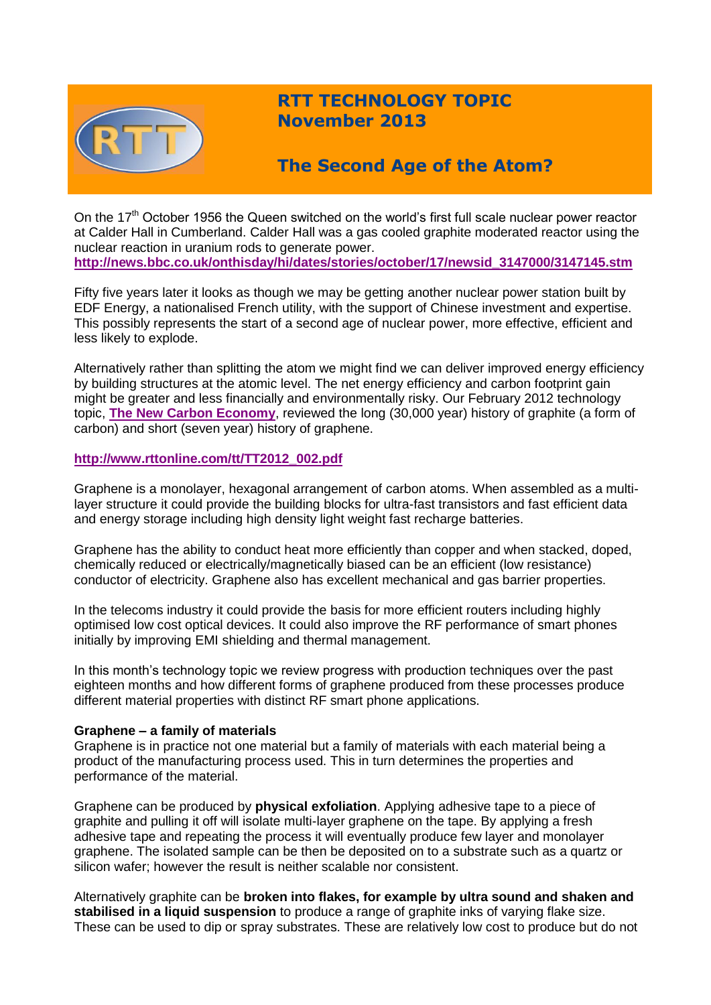

# **RTT TECHNOLOGY TOPIC November 2013**

# **The Second Age of the Atom?**

On the  $17<sup>th</sup>$  October 1956 the Queen switched on the world's first full scale nuclear power reactor at Calder Hall in Cumberland. Calder Hall was a gas cooled graphite moderated reactor using the nuclear reaction in uranium rods to generate power. **[http://news.bbc.co.uk/onthisday/hi/dates/stories/october/17/newsid\\_3147000/3147145.stm](http://news.bbc.co.uk/onthisday/hi/dates/stories/october/17/newsid_3147000/3147145.stm)**

Fifty five years later it looks as though we may be getting another nuclear power station built by EDF Energy, a nationalised French utility, with the support of Chinese investment and expertise. This possibly represents the start of a second age of nuclear power, more effective, efficient and less likely to explode.

Alternatively rather than splitting the atom we might find we can deliver improved energy efficiency by building structures at the atomic level. The net energy efficiency and carbon footprint gain might be greater and less financially and environmentally risky. Our February 2012 technology topic, **[The New Carbon Economy](http://www.rttonline.com/tt/TT2012_002.pdf)**, reviewed the long (30,000 year) history of graphite (a form of carbon) and short (seven year) history of graphene.

## **[http://www.rttonline.com/tt/TT2012\\_002.pdf](http://www.rttonline.com/tt/TT2012_002.pdf)**

Graphene is a monolayer, hexagonal arrangement of carbon atoms. When assembled as a multilayer structure it could provide the building blocks for ultra-fast transistors and fast efficient data and energy storage including high density light weight fast recharge batteries.

Graphene has the ability to conduct heat more efficiently than copper and when stacked, doped, chemically reduced or electrically/magnetically biased can be an efficient (low resistance) conductor of electricity. Graphene also has excellent mechanical and gas barrier properties.

In the telecoms industry it could provide the basis for more efficient routers including highly optimised low cost optical devices. It could also improve the RF performance of smart phones initially by improving EMI shielding and thermal management.

In this month's technology topic we review progress with production techniques over the past eighteen months and how different forms of graphene produced from these processes produce different material properties with distinct RF smart phone applications.

## **Graphene – a family of materials**

Graphene is in practice not one material but a family of materials with each material being a product of the manufacturing process used. This in turn determines the properties and performance of the material.

Graphene can be produced by **physical exfoliation**. Applying adhesive tape to a piece of graphite and pulling it off will isolate multi-layer graphene on the tape. By applying a fresh adhesive tape and repeating the process it will eventually produce few layer and monolayer graphene. The isolated sample can be then be deposited on to a substrate such as a quartz or silicon wafer; however the result is neither scalable nor consistent.

Alternatively graphite can be **broken into flakes, for example by ultra sound and shaken and stabilised in a liquid suspension** to produce a range of graphite inks of varying flake size. These can be used to dip or spray substrates. These are relatively low cost to produce but do not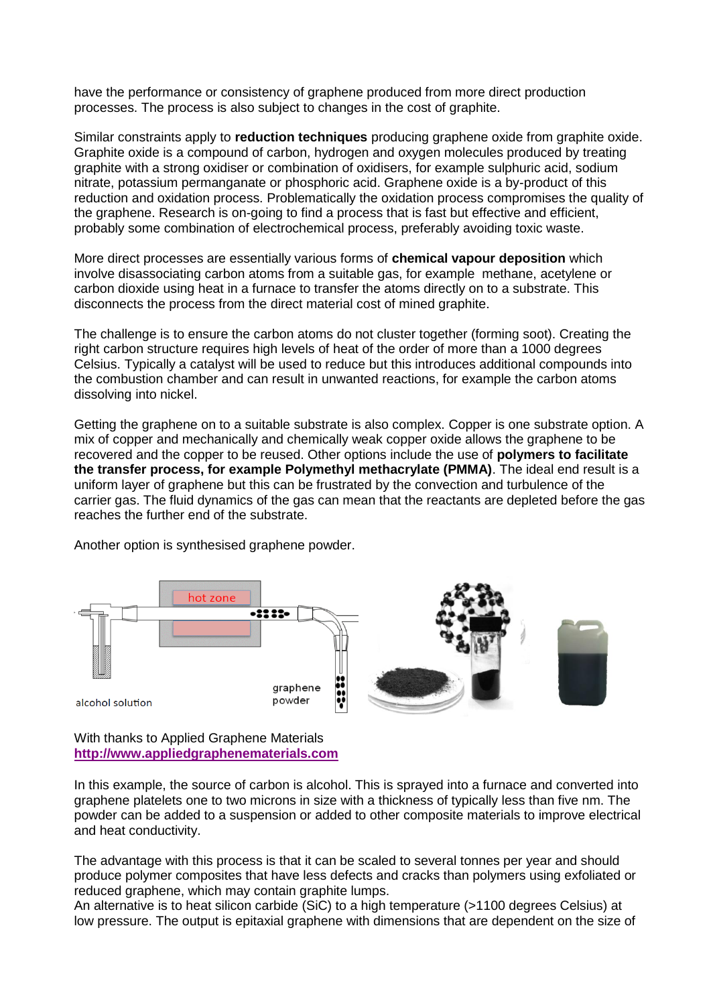have the performance or consistency of graphene produced from more direct production processes. The process is also subject to changes in the cost of graphite.

Similar constraints apply to **reduction techniques** producing graphene oxide from graphite oxide. Graphite oxide is a compound of carbon, hydrogen and oxygen molecules produced by treating graphite with a strong oxidiser or combination of oxidisers, for example sulphuric acid, sodium nitrate, potassium permanganate or phosphoric acid. Graphene oxide is a by-product of this reduction and oxidation process. Problematically the oxidation process compromises the quality of the graphene. Research is on-going to find a process that is fast but effective and efficient, probably some combination of electrochemical process, preferably avoiding toxic waste.

More direct processes are essentially various forms of **chemical vapour deposition** which involve disassociating carbon atoms from a suitable gas, for example methane, acetylene or carbon dioxide using heat in a furnace to transfer the atoms directly on to a substrate. This disconnects the process from the direct material cost of mined graphite.

The challenge is to ensure the carbon atoms do not cluster together (forming soot). Creating the right carbon structure requires high levels of heat of the order of more than a 1000 degrees Celsius. Typically a catalyst will be used to reduce but this introduces additional compounds into the combustion chamber and can result in unwanted reactions, for example the carbon atoms dissolving into nickel.

Getting the graphene on to a suitable substrate is also complex. Copper is one substrate option. A mix of copper and mechanically and chemically weak copper oxide allows the graphene to be recovered and the copper to be reused. Other options include the use of **polymers to facilitate the transfer process, for example Polymethyl methacrylate (PMMA)**. The ideal end result is a uniform layer of graphene but this can be frustrated by the convection and turbulence of the carrier gas. The fluid dynamics of the gas can mean that the reactants are depleted before the gas reaches the further end of the substrate.

Another option is synthesised graphene powder.



With thanks to Applied Graphene Materials **[http://www.appliedgraphenematerials.com](http://www.appliedgraphenematerials.com/)**

In this example, the source of carbon is alcohol. This is sprayed into a furnace and converted into graphene platelets one to two microns in size with a thickness of typically less than five nm. The powder can be added to a suspension or added to other composite materials to improve electrical and heat conductivity.

The advantage with this process is that it can be scaled to several tonnes per year and should produce polymer composites that have less defects and cracks than polymers using exfoliated or reduced graphene, which may contain graphite lumps.

An alternative is to heat silicon carbide (SiC) to a high temperature (>1100 degrees Celsius) at low pressure. The output is epitaxial graphene with dimensions that are dependent on the size of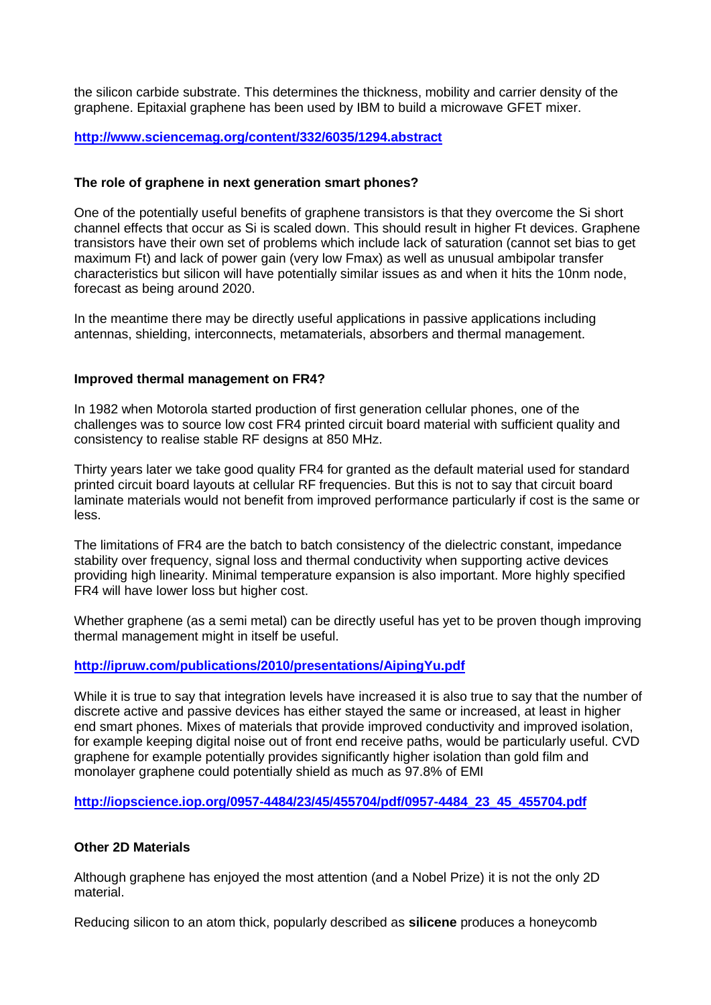the silicon carbide substrate. This determines the thickness, mobility and carrier density of the graphene. Epitaxial graphene has been used by IBM to build a microwave GFET mixer.

## **<http://www.sciencemag.org/content/332/6035/1294.abstract>**

## **The role of graphene in next generation smart phones?**

One of the potentially useful benefits of graphene transistors is that they overcome the Si short channel effects that occur as Si is scaled down. This should result in higher Ft devices. Graphene transistors have their own set of problems which include lack of saturation (cannot set bias to get maximum Ft) and lack of power gain (very low Fmax) as well as unusual ambipolar transfer characteristics but silicon will have potentially similar issues as and when it hits the 10nm node, forecast as being around 2020.

In the meantime there may be directly useful applications in passive applications including antennas, shielding, interconnects, metamaterials, absorbers and thermal management.

### **Improved thermal management on FR4?**

In 1982 when Motorola started production of first generation cellular phones, one of the challenges was to source low cost FR4 printed circuit board material with sufficient quality and consistency to realise stable RF designs at 850 MHz.

Thirty years later we take good quality FR4 for granted as the default material used for standard printed circuit board layouts at cellular RF frequencies. But this is not to say that circuit board laminate materials would not benefit from improved performance particularly if cost is the same or less.

The limitations of FR4 are the batch to batch consistency of the dielectric constant, impedance stability over frequency, signal loss and thermal conductivity when supporting active devices providing high linearity. Minimal temperature expansion is also important. More highly specified FR4 will have lower loss but higher cost.

Whether graphene (as a semi metal) can be directly useful has yet to be proven though improving thermal management might in itself be useful.

## **<http://ipruw.com/publications/2010/presentations/AipingYu.pdf>**

While it is true to say that integration levels have increased it is also true to say that the number of discrete active and passive devices has either stayed the same or increased, at least in higher end smart phones. Mixes of materials that provide improved conductivity and improved isolation, for example keeping digital noise out of front end receive paths, would be particularly useful. CVD graphene for example potentially provides significantly higher isolation than gold film and monolayer graphene could potentially shield as much as 97.8% of EMI

**[http://iopscience.iop.org/0957-4484/23/45/455704/pdf/0957-4484\\_23\\_45\\_455704.pdf](http://iopscience.iop.org/0957-4484/23/45/455704/pdf/0957-4484_23_45_455704.pdf)**

#### **Other 2D Materials**

Although graphene has enjoyed the most attention (and a Nobel Prize) it is not the only 2D material.

Reducing silicon to an atom thick, popularly described as **silicene** produces a honeycomb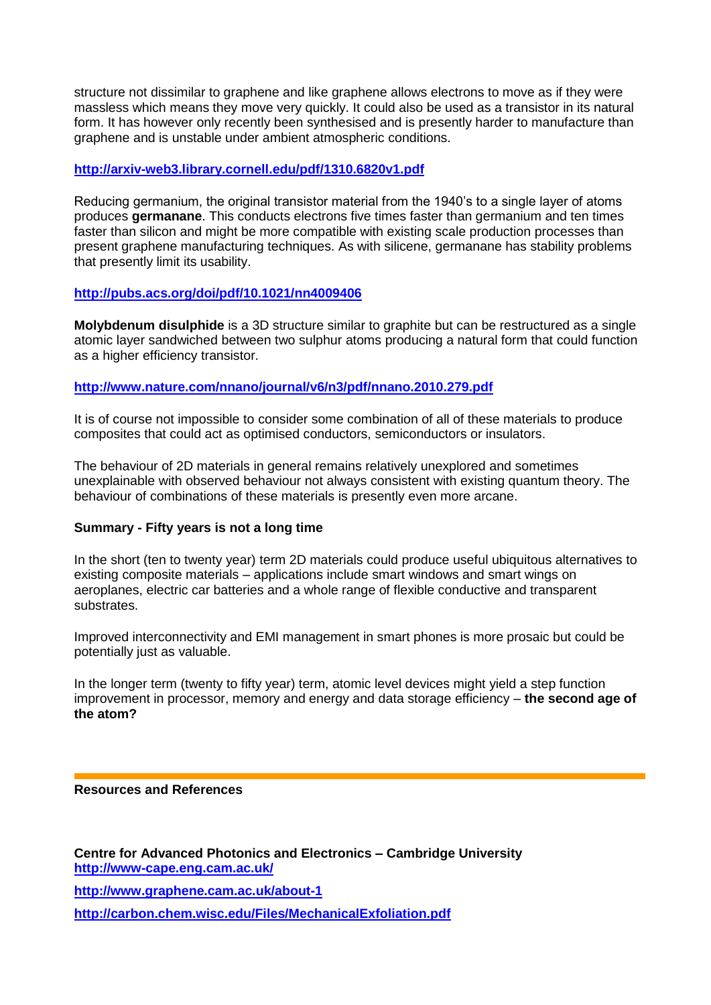structure not dissimilar to graphene and like graphene allows electrons to move as if they were massless which means they move very quickly. It could also be used as a transistor in its natural form. It has however only recently been synthesised and is presently harder to manufacture than graphene and is unstable under ambient atmospheric conditions.

## **<http://arxiv-web3.library.cornell.edu/pdf/1310.6820v1.pdf>**

Reducing germanium, the original transistor material from the 1940's to a single layer of atoms produces **germanane**. This conducts electrons five times faster than germanium and ten times faster than silicon and might be more compatible with existing scale production processes than present graphene manufacturing techniques. As with silicene, germanane has stability problems that presently limit its usability.

## **<http://pubs.acs.org/doi/pdf/10.1021/nn4009406>**

**Molybdenum disulphide** is a 3D structure similar to graphite but can be restructured as a single atomic layer sandwiched between two sulphur atoms producing a natural form that could function as a higher efficiency transistor.

## **<http://www.nature.com/nnano/journal/v6/n3/pdf/nnano.2010.279.pdf>**

It is of course not impossible to consider some combination of all of these materials to produce composites that could act as optimised conductors, semiconductors or insulators.

The behaviour of 2D materials in general remains relatively unexplored and sometimes unexplainable with observed behaviour not always consistent with existing quantum theory. The behaviour of combinations of these materials is presently even more arcane.

## **Summary - Fifty years is not a long time**

In the short (ten to twenty year) term 2D materials could produce useful ubiquitous alternatives to existing composite materials – applications include smart windows and smart wings on aeroplanes, electric car batteries and a whole range of flexible conductive and transparent substrates.

Improved interconnectivity and EMI management in smart phones is more prosaic but could be potentially just as valuable.

In the longer term (twenty to fifty year) term, atomic level devices might yield a step function improvement in processor, memory and energy and data storage efficiency – **the second age of the atom?**

#### **Resources and References**

**Centre for Advanced Photonics and Electronics – Cambridge University <http://www-cape.eng.cam.ac.uk/>**

**<http://www.graphene.cam.ac.uk/about-1>**

**<http://carbon.chem.wisc.edu/Files/MechanicalExfoliation.pdf>**